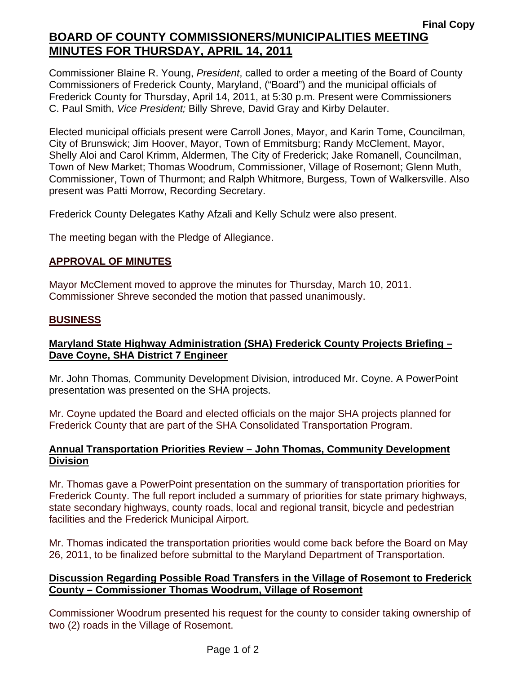Commissioner Blaine R. Young, *President*, called to order a meeting of the Board of County Commissioners of Frederick County, Maryland, ("Board") and the municipal officials of Frederick County for Thursday, April 14, 2011, at 5:30 p.m. Present were Commissioners C. Paul Smith, *Vice President;* Billy Shreve, David Gray and Kirby Delauter.

Elected municipal officials present were Carroll Jones, Mayor, and Karin Tome, Councilman, City of Brunswick; Jim Hoover, Mayor, Town of Emmitsburg; Randy McClement, Mayor, Shelly Aloi and Carol Krimm, Aldermen, The City of Frederick; Jake Romanell, Councilman, Town of New Market; Thomas Woodrum, Commissioner, Village of Rosemont; Glenn Muth, Commissioner, Town of Thurmont; and Ralph Whitmore, Burgess, Town of Walkersville. Also present was Patti Morrow, Recording Secretary.

Frederick County Delegates Kathy Afzali and Kelly Schulz were also present.

The meeting began with the Pledge of Allegiance.

## **APPROVAL OF MINUTES**

Mayor McClement moved to approve the minutes for Thursday, March 10, 2011. Commissioner Shreve seconded the motion that passed unanimously.

#### **BUSINESS**

## **Maryland State Highway Administration (SHA) Frederick County Projects Briefing – Dave Coyne, SHA District 7 Engineer**

Mr. John Thomas, Community Development Division, introduced Mr. Coyne. A PowerPoint presentation was presented on the SHA projects.

Mr. Coyne updated the Board and elected officials on the major SHA projects planned for Frederick County that are part of the SHA Consolidated Transportation Program.

## **Annual Transportation Priorities Review – John Thomas, Community Development Division**

Mr. Thomas gave a PowerPoint presentation on the summary of transportation priorities for Frederick County. The full report included a summary of priorities for state primary highways, state secondary highways, county roads, local and regional transit, bicycle and pedestrian facilities and the Frederick Municipal Airport.

Mr. Thomas indicated the transportation priorities would come back before the Board on May 26, 2011, to be finalized before submittal to the Maryland Department of Transportation.

## **Discussion Regarding Possible Road Transfers in the Village of Rosemont to Frederick County – Commissioner Thomas Woodrum, Village of Rosemont**

Commissioner Woodrum presented his request for the county to consider taking ownership of two (2) roads in the Village of Rosemont.